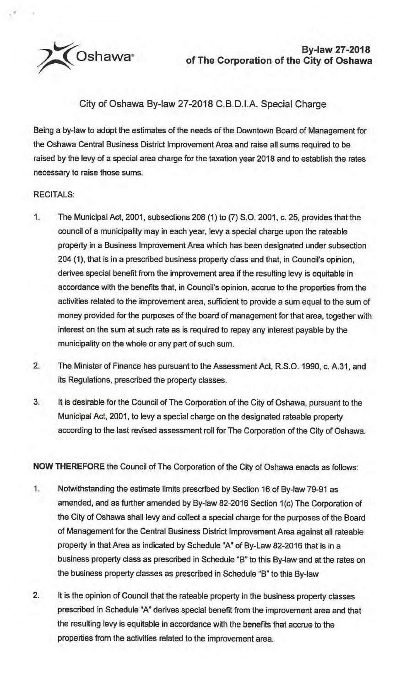~Oshawa•

## City of Oshawa By-law 27-2018 C.B.D.I.A. Special Charge

Being a by-law to adopt the estimates of the needs of the Downtown Board of Management for the Oshawa Central Business District Improvement Area and raise all sums required to be raised by the levy of a special area charge for the taxation year 2018 and to establish the rates necessary to raise those sums.

## RECITALS:

."

- 1. The Municipal Act, 2001, subsections 208 (1) to (7) S.O. 2001, c. 25, provides that the council of a municipality may in each year, levy a special charge upon the rateable property in a Business Improvement Area which has been designated under subsection 204 (1), that is in a prescribed business property class and that, in Council's opinion, derives special benefit from the improvement area if the resulting levy is equitable in accordance with the benefits that, in Council's opinion, accrue to the properties from the activities related to the improvement area, sufficient to provide a sum equal to the sum of money provided for the purposes of the board of management for that area, together with interest on the sum at such rate as is required to repay any interest payable by the municipality on the whole or any part of such sum.
- 2. The Minister of Finance has pursuant to the Assessment Act, R.S.O. 1990, c. A.31, and its Regulations, prescribed the property classes.
- 3. It is desirable for the Council of The Corporation of the City of Oshawa, pursuant to the Municipal Act, 2001, to levy a special charge on the designated rateable property according to the last revised assessment roll for The Corporation of the City of Oshawa.

**NOW THEREFORE** the Council of The Corporation of the City of Oshawa enacts as follows:

- 1. Notwithstanding the estimate limits prescribed by Section 16 of By-law 79-91 as amended, and as further amended by By-law 82-2016 Section 1(c) The Corporation of the City of Oshawa shall levy and collect a special charge for the purposes of the Board of Management for the Central Business District Improvement Area against all rateable property in that Area as indicated by Schedule "A" of By-Law 82-2016 that is in a business property class as prescribed in Schedule "B" to this By-law and at the rates on the business property classes as prescribed in Schedule "B" to this By-law
- 2. It is the opinion of Council that the rateable property in the business property classes prescribed in Schedule "A" derives special benefit from the improvement area and that the resulting levy is equitable in accordance with the benefits that accrue to the properties from the activities related to the improvement area.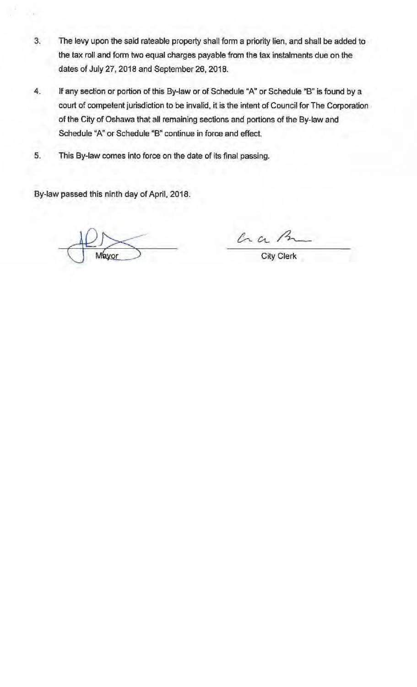- .3. The levy upon the said rateable property shall form a priority lien, and shall be added to the tax roll and form two equal charges payable from the tax instalments due on the dates of July 27, 2018 and September 26, 2018.
- 4. If any section or portion of this By•law or of Schedule "A'' or Schedule ''B" is found by a court of competent jurisdiction to be invalid, it is the intent of Council for The Corporation of the City of Oshawa that all remaining sections and portions of the By-law and Schedule "A" or Schedule "B" continue in force and effect.
- 5. This By-law comes into force on the date of its final passing.

By-law passed this ninth day of April, 2018.

Can B

City Clerk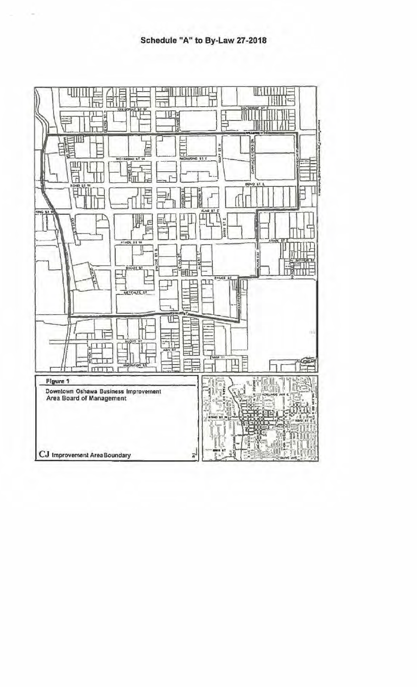